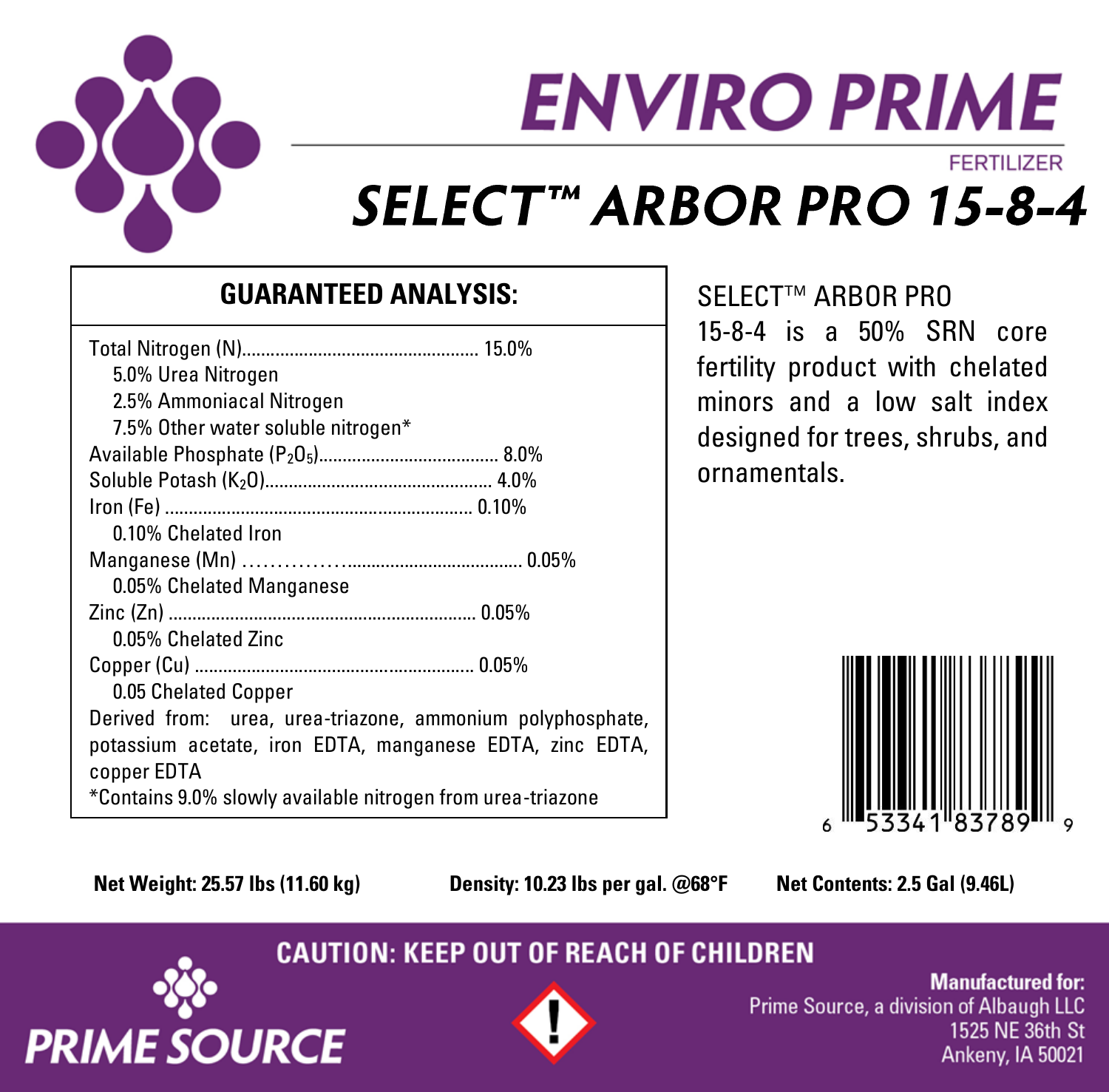

# **ENVIRO PRIME FERTILIZER** SELECT™ ARBOR PRO 15-8-4

### **GUARANTEED ANALYSIS:**

| 5.0% Urea Nitrogen                                          |
|-------------------------------------------------------------|
| 2.5% Ammoniacal Nitrogen                                    |
| 7.5% Other water soluble nitrogen*                          |
|                                                             |
|                                                             |
|                                                             |
| 0.10% Chelated Iron                                         |
|                                                             |
| 0.05% Chelated Manganese                                    |
|                                                             |
| 0.05% Chelated Zinc                                         |
|                                                             |
| 0.05 Chelated Copper                                        |
| Derived from: urea, urea-triazone, ammonium polyphosphate,  |
| potassium acetate, iron EDTA, manganese EDTA, zinc EDTA,    |
| copper EDTA                                                 |
| *Contains 9.0% slowly available nitrogen from urea-triazone |

SELECT™ ARBOR PRO

15-8-4 is a 50% SRN core fertility product with chelated minors and a low salt index designed for trees, shrubs, and ornamentals.



**Net Weight: 25.57 lbs (11.60 kg) Density: 10.23 lbs per gal. @68°F Net Contents: 2.5 Gal (9.46L)**

**CAUTION: KEEP OUT OF REACH OF CHILDREN** 





**Manufactured for:** Prime Source, a division of Albaugh LLC 1525 NE 36th St Ankeny, IA 50021